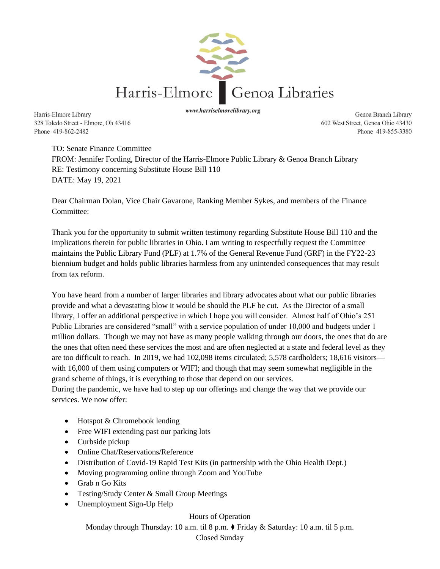

www.harriselmorelibrary.org

Genoa Branch Library 602 West Street, Genoa Ohio 43430 Phone 419-855-3380

Harris-Elmore Library 328 Toledo Street - Elmore, Oh 43416 Phone 419-862-2482

> TO: Senate Finance Committee FROM: Jennifer Fording, Director of the Harris-Elmore Public Library & Genoa Branch Library RE: Testimony concerning Substitute House Bill 110 DATE: May 19, 2021

Dear Chairman Dolan, Vice Chair Gavarone, Ranking Member Sykes, and members of the Finance Committee:

Thank you for the opportunity to submit written testimony regarding Substitute House Bill 110 and the implications therein for public libraries in Ohio. I am writing to respectfully request the Committee maintains the Public Library Fund (PLF) at 1.7% of the General Revenue Fund (GRF) in the FY22-23 biennium budget and holds public libraries harmless from any unintended consequences that may result from tax reform.

You have heard from a number of larger libraries and library advocates about what our public libraries provide and what a devastating blow it would be should the PLF be cut. As the Director of a small library, I offer an additional perspective in which I hope you will consider. Almost half of Ohio's 251 Public Libraries are considered "small" with a service population of under 10,000 and budgets under 1 million dollars. Though we may not have as many people walking through our doors, the ones that do are the ones that often need these services the most and are often neglected at a state and federal level as they are too difficult to reach. In 2019, we had 102,098 items circulated; 5,578 cardholders; 18,616 visitors with 16,000 of them using computers or WIFI; and though that may seem somewhat negligible in the grand scheme of things, it is everything to those that depend on our services.

During the pandemic, we have had to step up our offerings and change the way that we provide our services. We now offer:

- Hotspot & Chromebook lending
- Free WIFI extending past our parking lots
- Curbside pickup
- Online Chat/Reservations/Reference
- Distribution of Covid-19 Rapid Test Kits (in partnership with the Ohio Health Dept.)
- Moving programming online through Zoom and YouTube
- Grab n Go Kits
- Testing/Study Center & Small Group Meetings
- Unemployment Sign-Up Help

Hours of Operation

Monday through Thursday: 10 a.m. til 8 p.m. ⧫ Friday & Saturday: 10 a.m. til 5 p.m.

## Closed Sunday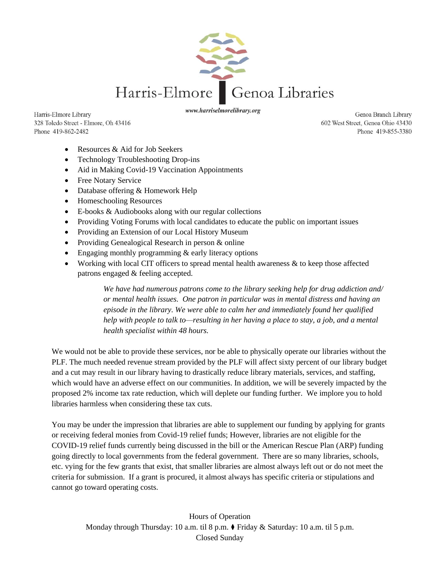

Harris-Elmore Library 328 Toledo Street - Elmore, Oh 43416 Phone 419-862-2482

www.harriselmorelibrary.org

Genoa Branch Library 602 West Street, Genoa Ohio 43430 Phone 419-855-3380

- Resources & Aid for Job Seekers
- Technology Troubleshooting Drop-ins
- Aid in Making Covid-19 Vaccination Appointments
- Free Notary Service
- Database offering & Homework Help
- Homeschooling Resources
- E-books & Audiobooks along with our regular collections
- Providing Voting Forums with local candidates to educate the public on important issues
- Providing an Extension of our Local History Museum
- Providing Genealogical Research in person & online
- Engaging monthly programming & early literacy options
- Working with local CIT officers to spread mental health awareness & to keep those affected patrons engaged & feeling accepted.

*We have had numerous patrons come to the library seeking help for drug addiction and/ or mental health issues. One patron in particular was in mental distress and having an episode in the library. We were able to calm her and immediately found her qualified help with people to talk to—resulting in her having a place to stay, a job, and a mental health specialist within 48 hours.*

We would not be able to provide these services, nor be able to physically operate our libraries without the PLF. The much needed revenue stream provided by the PLF will affect sixty percent of our library budget and a cut may result in our library having to drastically reduce library materials, services, and staffing, which would have an adverse effect on our communities. In addition, we will be severely impacted by the proposed 2% income tax rate reduction, which will deplete our funding further. We implore you to hold libraries harmless when considering these tax cuts.

You may be under the impression that libraries are able to supplement our funding by applying for grants or receiving federal monies from Covid-19 relief funds; However, libraries are not eligible for the COVID-19 relief funds currently being discussed in the bill or the American Rescue Plan (ARP) funding going directly to local governments from the federal government. There are so many libraries, schools, etc. vying for the few grants that exist, that smaller libraries are almost always left out or do not meet the criteria for submission. If a grant is procured, it almost always has specific criteria or stipulations and cannot go toward operating costs.

Hours of Operation Monday through Thursday: 10 a.m. til 8 p.m. ⧫ Friday & Saturday: 10 a.m. til 5 p.m. Closed Sunday